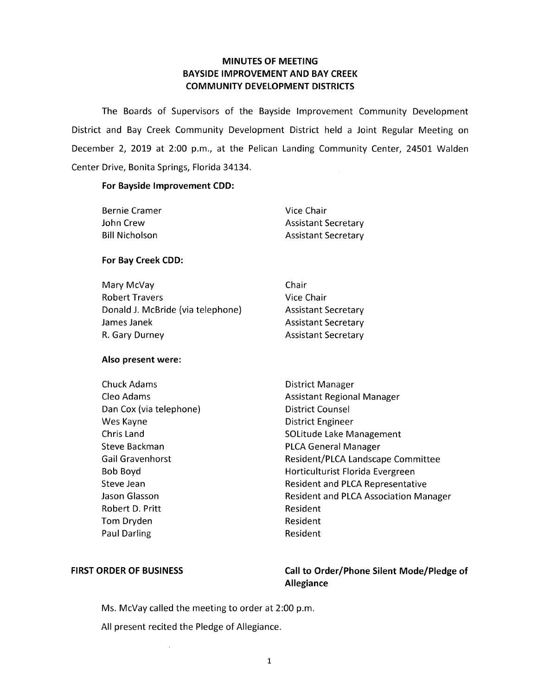### **MINUTES OF MEETING BAYSIDE IMPROVEMENT AND BAY CREEK COMMUNITY DEVELOPMENT DISTRICTS**

The Boards of Supervisors of the Bayside Improvement Community Development District and Bay Creek Community Development District held a Joint Regular Meeting on December 2, 2019 at 2:00 p.m., at the Pelican Landing Community Center, 24501 Walden Center Drive, Bonita Springs, Florida 34134.

#### **For Bayside Improvement CDD:**

| <b>Bernie Cramer</b>  | Vice Chair                 |
|-----------------------|----------------------------|
| John Crew             | <b>Assistant Secretary</b> |
| <b>Bill Nicholson</b> | <b>Assistant Secretary</b> |

#### **For Bay Creek CDD:**

| Chair                      |
|----------------------------|
| Vice Chair                 |
| <b>Assistant Secretary</b> |
| <b>Assistant Secretary</b> |
| <b>Assistant Secretary</b> |
|                            |

#### **Also present were:**

| Chuck Adams             | District Manager                             |
|-------------------------|----------------------------------------------|
| Cleo Adams              | <b>Assistant Regional Manager</b>            |
| Dan Cox (via telephone) | <b>District Counsel</b>                      |
| Wes Kayne               | District Engineer                            |
| Chris Land              | SOLitude Lake Management                     |
| Steve Backman           | <b>PLCA General Manager</b>                  |
| <b>Gail Gravenhorst</b> | Resident/PLCA Landscape Committee            |
| Bob Boyd                | Horticulturist Florida Evergreen             |
| Steve Jean              | <b>Resident and PLCA Representative</b>      |
| Jason Glasson           | <b>Resident and PLCA Association Manager</b> |
| Robert D. Pritt         | Resident                                     |
| Tom Dryden              | Resident                                     |
| <b>Paul Darling</b>     | Resident                                     |

### FIRST ORDER OF BUSINESS Call to Order/Phone Silent Mode/Pledge of **Allegiance**

Ms. McVay called the meeting to order at 2:00 p.m.

All present recited the Pledge of Allegiance.

 $\bar{\lambda}$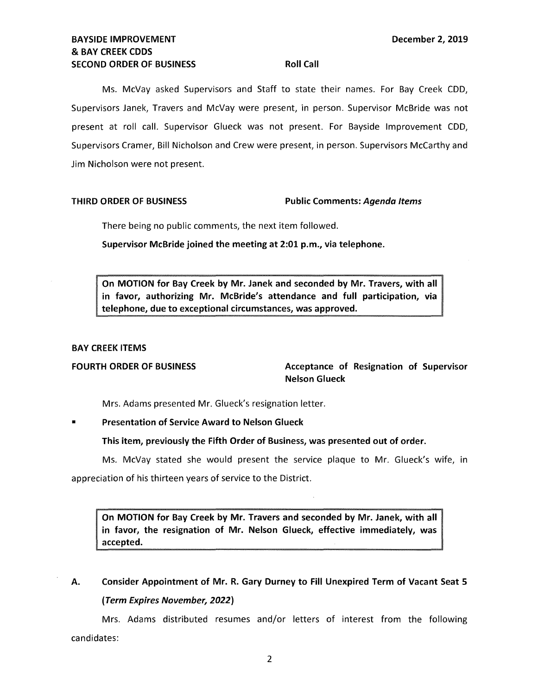### **BAYSIDE IMPROVEMENT LEADER IN EXAMPLE 2019 December 2, 2019** & **BAY CREEK CDDS SECOND ORDER OF BUSINESS ROLL CALL ROLL CALL**

Ms. McVay asked Supervisors and Staff to state their names. For Bay Creek COD, Supervisors Janek, Travers and McVay were present, in person. Supervisor McBride was not present at roll call. Supervisor Glueck was not present. For Bayside Improvement COD, Supervisors Cramer, Bill Nicholson and Crew were present, in person. Supervisors McCarthy and Jim Nicholson were not present.

#### **THIRD ORDER OF BUSINESS Public Comments: Agenda Items**

There being no public comments, the next item followed.

**Supervisor McBride joined the meeting at 2:01 p.m., via telephone.** 

**On MOTION for Bay Creek by Mr. Janek and seconded by Mr. Travers, with all in favor, authorizing Mr. McBride's attendance and full participation, via telephone, due to exceptional circumstances, was approved.** 

#### **BAY CREEK ITEMS**

FOURTH ORDER OF BUSINESS **Acceptance of Resignation of Supervisor** Acceptance of Resignation of Supervisor **Nelson Glueck** 

Mrs. Adams presented Mr. Glueck's resignation letter.

**Presentation of Service Award to Nelson Glueck** 

**This item, previously the Fifth Order of Business, was presented out of order.** 

Ms. McVay stated she would present the service plaque to Mr. Glueck's wife, in

appreciation of his thirteen years of service to the District.

**On MOTION for Bay Creek by Mr. Travers and seconded by Mr. Janek, with all in favor, the resignation of Mr. Nelson Glueck, effective immediately, was accepted.** 

# **A. Consider Appointment of Mr. R. Gary Durney to Fill Unexpired Term of Vacant Seat 5 (Term Expires November, 2022)**

Mrs. Adams distributed resumes and/or letters of interest from the following candidates: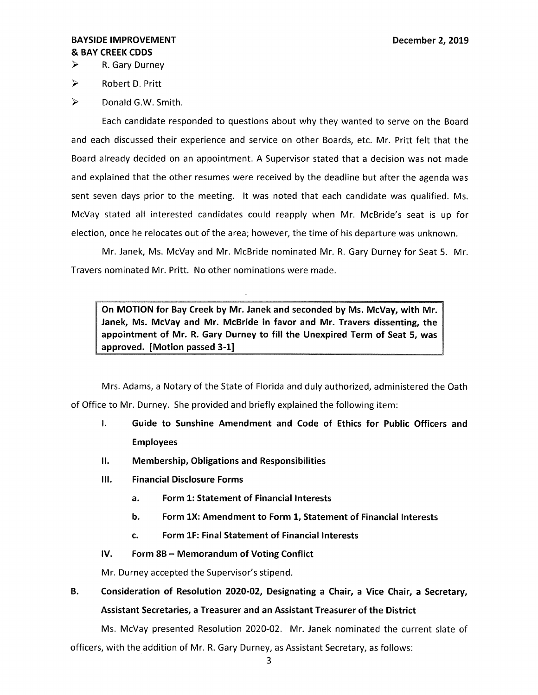### **BAYSIDE IMPROVEMENT DECEMBER 2, 2019** & **BAY CREEK CDDS**

► R. Gary Durney

► Robert D. Pritt

► Donald G.W. Smith.

Each candidate responded to questions about why they wanted to serve on the Board and each discussed their experience and service on other Boards, etc. Mr. Pritt felt that the Board already decided on an appointment. A Supervisor stated that a decision was not made and explained that the other resumes were received by the deadline but after the agenda was sent seven days prior to the meeting. It was noted that each candidate was qualified. Ms. McVay stated all interested candidates could reapply when Mr. McBride's seat is up for election, once he relocates out of the area; however, the time of his departure was unknown.

Mr. Janek, Ms. McVay and Mr. McBride nominated Mr. R. Gary Durney for Seat 5. Mr. Travers nominated Mr. Pritt. No other nominations were made.

**On MOTION for Bay Creek by Mr. Janek and seconded by Ms. McVay, with Mr. Janek, Ms. McVay and Mr. McBride in favor and Mr. Travers dissenting, the appointment of Mr. R. Gary Durney to fill the Unexpired Term of Seat 5, was approved. [Motion passed 3-1]** 

Mrs. Adams, a Notary of the State of Florida and duly authorized, administered the Oath of Office to Mr. Durney. She provided and briefly explained the following item:

- I. **Guide to Sunshine Amendment and Code of Ethics for Public Officers and Employees**
- II. **Membership, Obligations and Responsibilities**
- Ill. **Financial Disclosure Forms** 
	- **a. Form 1: Statement of Financial Interests**
	- **b. Form lX: Amendment to Form 1, Statement of Financial Interests**
	- **c. Form lF: Final Statement of Financial Interests**
- **IV. Form 88 Memorandum of Voting Conflict**

Mr. Durney accepted the Supervisor's stipend.

# **B. Consideration of Resolution 2020-02, Designating a Chair, a Vice Chair, a Secretary, Assistant Secretaries, a Treasurer and an Assistant Treasurer of the District**

Ms. McVay presented Resolution 2020-02. Mr. Janek nominated the current slate of officers, with the addition of Mr. R. Gary Durney, as Assistant Secretary, as follows: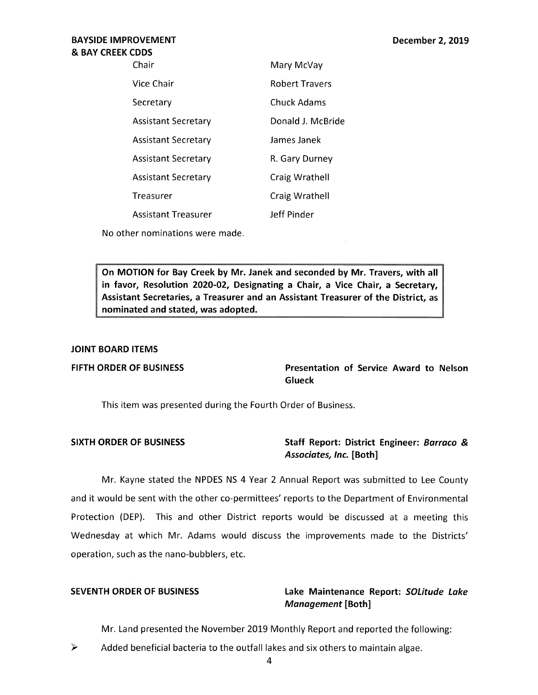### **BAYSIDE IMPROVEMENT**  & **BAY CREEK CODS**

| Chair                      | Mary McVay            |
|----------------------------|-----------------------|
| Vice Chair                 | <b>Robert Travers</b> |
| Secretary                  | Chuck Adams           |
| <b>Assistant Secretary</b> | Donald J. McBride     |
| <b>Assistant Secretary</b> | James Janek           |
| <b>Assistant Secretary</b> | R. Gary Durney        |
| <b>Assistant Secretary</b> | Craig Wrathell        |
| Treasurer                  | Craig Wrathell        |
| <b>Assistant Treasurer</b> | Jeff Pinder           |
|                            |                       |

**No** other nominations were made.

**On MOTION for Bay Creek by Mr. Janek and seconded by Mr. Travers, with all in favor, Resolution 2020-02, Designating a Chair, a Vice Chair, a Secretary, Assistant Secretaries, a Treasurer and an Assistant Treasurer of the District, as nominated and stated, was adopted.** 

#### **JOINT BOARD ITEMS**

**FIFTH ORDER OF BUSINESS Presentation of Service Award to Nelson Glueck** 

This item was presented during the Fourth Order of Business.

### **SIXTH ORDER OF BUSINESS Staff Report: District Engineer: Barraco** & **Associates, Inc. [Both]**

Mr. Kayne stated the NPDES NS 4 Year 2 Annual Report was submitted to Lee County and it would be sent with the other co-permittees' reports to the Department of Environmental Protection (DEP). This and other District reports would be discussed at a meeting this Wednesday at which Mr. Adams would discuss the improvements made to the Districts' operation, such as the nano-bubblers, etc.

### **SEVENTH ORDER OF BUSINESS Lake Maintenance Report: SOLitude Lake Management [Both]**

Mr. Land presented the November 2019 Monthly Report and reported the following:

 $\triangleright$  Added beneficial bacteria to the outfall lakes and six others to maintain algae.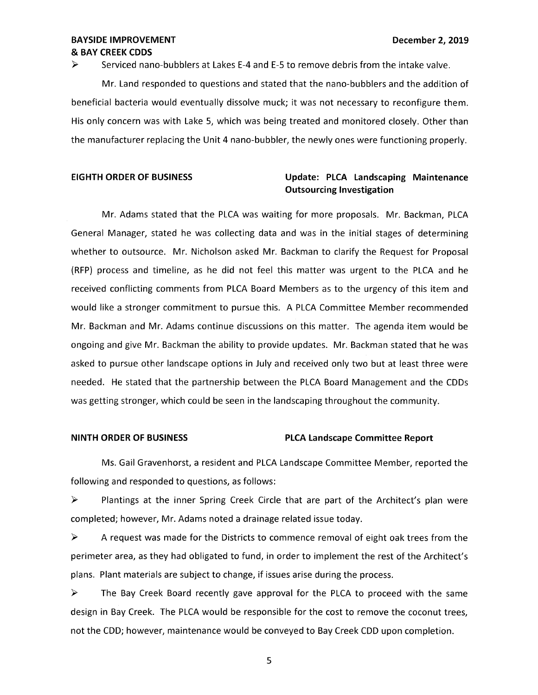#### **BAYSIDE IMPROVEMENT LEADER IN EXAMPLE 2, 2019 December 2, 2019** & **BAY CREEK CODS**

 $\triangleright$  Serviced nano-bubblers at Lakes E-4 and E-5 to remove debris from the intake valve.

Mr. Land responded to questions and stated that the nano-bubblers and the addition of beneficial bacteria would eventually dissolve muck; it was not necessary to reconfigure them. His only concern was with Lake 5, which was being treated and monitored closely. Other than the manufacturer replacing the Unit 4 nano-bubbler, the newly ones were functioning properly.

### **EIGHTH ORDER OF BUSINESS Update: PLCA Landscaping Maintenance Outsourcing Investigation**

Mr. Adams stated that the PLCA was waiting for more proposals. Mr. Backman, PLCA General Manager, stated he was collecting data and was in the initial stages of determining whether to outsource. Mr. Nicholson asked Mr. Backman to clarify the Request for Proposal (RFP) process and timeline, as he did not feel this matter was urgent to the PLCA and he received conflicting comments from PLCA Board Members as to the urgency of this item and would like a stronger commitment to pursue this. A PLCA Committee Member recommended Mr. Backman and Mr. Adams continue discussions on this matter. The agenda item would be ongoing and give Mr. Backman the ability to provide updates. Mr. Backman stated that he was asked to pursue other landscape options in July and received only two but at least three were needed. He stated that the partnership between the PLCA Board Management and the CDDs was getting stronger, which could be seen in the landscaping throughout the community.

#### **NINTH ORDER OF BUSINESS PLCA Landscape Committee Report**

Ms. Gail Gravenhorst, a resident and PLCA Landscape Committee Member, reported the following and responded to questions, as follows:

► Plantings at the inner Spring Creek Circle that are part of the Architect's plan were completed; however, Mr. Adams noted a drainage related issue today.

 $\triangleright$  A request was made for the Districts to commence removal of eight oak trees from the perimeter area, as they had obligated to fund, in order to implement the rest of the Architect's plans. Plant materials are subject to change, if issues arise during the process.

► The Bay Creek Board recently gave approval for the PLCA to proceed with the same design in Bay Creek. The PLCA would be responsible for the cost to remove the coconut trees, not the COD; however, maintenance would be conveyed to Bay Creek COD upon completion.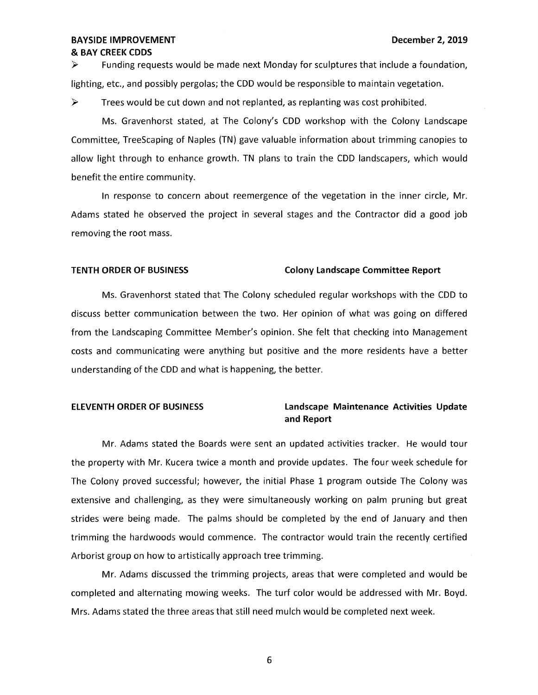#### **BAYSIDE IMPROVEMENT DECEMBER 2, 2019** & **BAY CREEK CDDS**

 $\triangleright$  Funding requests would be made next Monday for sculptures that include a foundation, lighting, etc., and possibly pergolas; the CDD would be responsible to maintain vegetation.

► Trees would be cut down and not replanted, as replanting was cost prohibited.

Ms. Gravenhorst stated, at The Colony's CDD workshop with the Colony Landscape Committee, TreeScaping of Naples (TN) gave valuable information about trimming canopies to allow light through to enhance growth. TN plans to train the CDD landscapers, which would benefit the entire community.

In response to concern about reemergence of the vegetation in the inner circle, Mr. Adams stated he observed the project in several stages and the Contractor did a good job removing the root mass.

#### **TENTH ORDER OF BUSINESS Colony Landscape Committee Report**

Ms. Gravenhorst stated that The Colony scheduled regular workshops with the CDD to discuss better communication between the two. Her opinion of what was going on differed from the Landscaping Committee Member's opinion. She felt that checking into Management costs and communicating were anything but positive and the more residents have a better understanding of the CDD and what is happening, the better.

### **ELEVENTH ORDER OF BUSINESS Landscape Maintenance Activities Update and Report**

Mr. Adams stated the Boards were sent an updated activities tracker. He would tour the property with Mr. Kucera twice a month and provide updates. The four week schedule for The Colony proved successful; however, the initial Phase 1 program outside The Colony was extensive and challenging, as they were simultaneously working on palm pruning but great strides were being made. The palms should be completed by the end of January and then trimming the hardwoods would commence. The contractor would train the recently certified Arborist group on how to artistically approach tree trimming.

Mr. Adams discussed the trimming projects, areas that were completed and would be completed and alternating mowing weeks. The turf color would be addressed with Mr. Boyd. Mrs. Adams stated the three areas that still need mulch would be completed next week.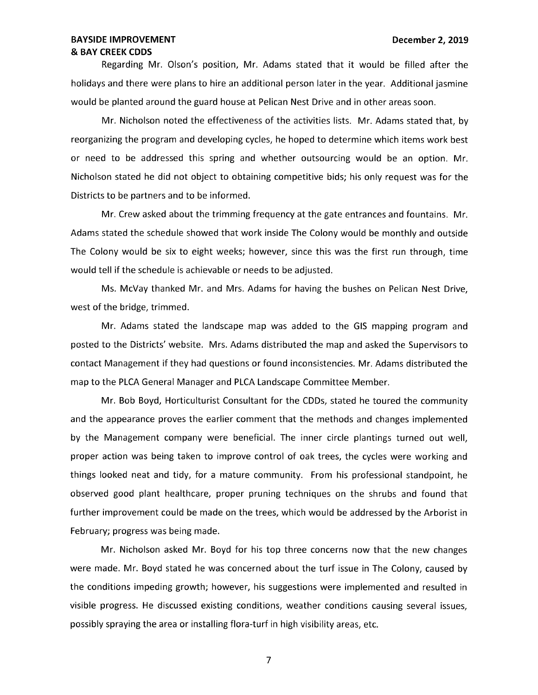#### **BAYSIDE IMPROVEMENT LEADER IN EXAMPLE 2019 December 2, 2019** & **BAY CREEK CDDS**

Regarding Mr. Olson's position, Mr. Adams stated that it would be filled after the holidays and there were plans to hire an additional person later in the year. Additional jasmine would be planted around the guard house at Pelican Nest Drive and in other areas soon.

Mr. Nicholson noted the effectiveness of the activities lists. Mr. Adams stated that, by reorganizing the program and developing cycles, he hoped to determine which items work best or need to be addressed this spring and whether outsourcing would be an option. Mr. Nicholson stated he did not object to obtaining competitive bids; his only request was for the Districts to be partners and to be informed.

Mr. Crew asked about the trimming frequency at the gate entrances and fountains. Mr. Adams stated the schedule showed that work inside The Colony would be monthly and outside The Colony would be six to eight weeks; however, since this was the first run through, time would tell if the schedule is achievable or needs to be adjusted.

Ms. McVay thanked Mr. and Mrs. Adams for having the bushes on Pelican Nest Drive, west of the bridge, trimmed.

Mr. Adams stated the landscape map was added to the GIS mapping program and posted to the Districts' website. Mrs. Adams distributed the map and asked the Supervisors to contact Management if they had questions or found inconsistencies. Mr. Adams distributed the map to the PLCA General Manager and PLCA Landscape Committee Member.

Mr. Bob Boyd, Horticulturist Consultant for the CDDs, stated he toured the community and the appearance proves the earlier comment that the methods and changes implemented by the Management company were beneficial. The inner circle plantings turned out well, proper action was being taken to improve control of oak trees, the cycles were working and things looked neat and tidy, for a mature community. From his professional standpoint, he observed good plant healthcare, proper pruning techniques on the shrubs and found that further improvement could be made on the trees, which would be addressed by the Arborist in February; progress was being made.

Mr. Nicholson asked Mr. Boyd for his top three concerns now that the new changes were made. Mr. Boyd stated he was concerned about the turf issue in The Colony, caused by the conditions impeding growth; however, his suggestions were implemented and resulted in visible progress. He discussed existing conditions, weather conditions causing several issues, possibly spraying the area or installing flora-turf in high visibility areas, etc.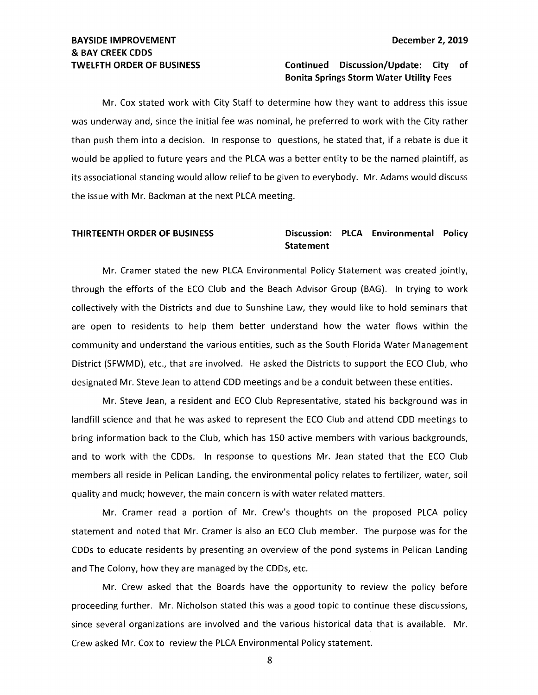# **BAYSIDE IMPROVEMENT DECEMBER 2, 2019** & **BAY CREEK CODS**

#### **TWELFTH ORDER OF BUSINESS Continued Discussion/Update: City of Bonita Springs Storm Water Utility Fees**

Mr. Cox stated work with City Staff to determine how they want to address this issue was underway and, since the initial fee was nominal, he preferred to work with the City rather than push them into a decision. In response to questions, he stated that, if a rebate is due it would be applied to future years and the PLCA was a better entity to be the named plaintiff, as its associational standing would allow relief to be given to everybody. Mr. Adams would discuss the issue with Mr. Backman at the next PLCA meeting.

### **THIRTEENTH ORDER OF BUSINESS Discussion: PLCA Environmental Policy Statement**

Mr. Cramer stated the new PLCA Environmental Policy Statement was created jointly, through the efforts of the ECO Club and the Beach Advisor Group (BAG). In trying to work collectively with the Districts and due to Sunshine Law, they would like to hold seminars that are open to residents to help them better understand how the water flows within the community and understand the various entities, such as the South Florida Water Management District (SFWMD), etc., that are involved. He asked the Districts to support the ECO Club, who designated Mr. Steve Jean to attend CDD meetings and be a conduit between these entities.

Mr. Steve Jean, a resident and ECO Club Representative, stated his background was in landfill science and that he was asked to represent the ECO Club and attend CDD meetings to bring information back to the Club, which has 150 active members with various backgrounds, and to work with the CDDs. In response to questions Mr. Jean stated that the ECO Club members all reside in Pelican Landing, the environmental policy relates to fertilizer, water, soil quality and muck; however, the main concern is with water related matters.

Mr. Cramer read a portion of Mr. Crew's thoughts on the proposed PLCA policy statement and noted that Mr. Cramer is also an ECO Club member. The purpose was for the CDDs to educate residents by presenting an overview of the pond systems in Pelican Landing and The Colony, how they are managed by the CDDs, etc.

Mr. Crew asked that the Boards have the opportunity to review the policy before proceeding further. Mr. Nicholson stated this was a good topic to continue these discussions, since several organizations are involved and the various historical data that is available. Mr. Crew asked Mr. Cox to review the PLCA Environmental Policy statement.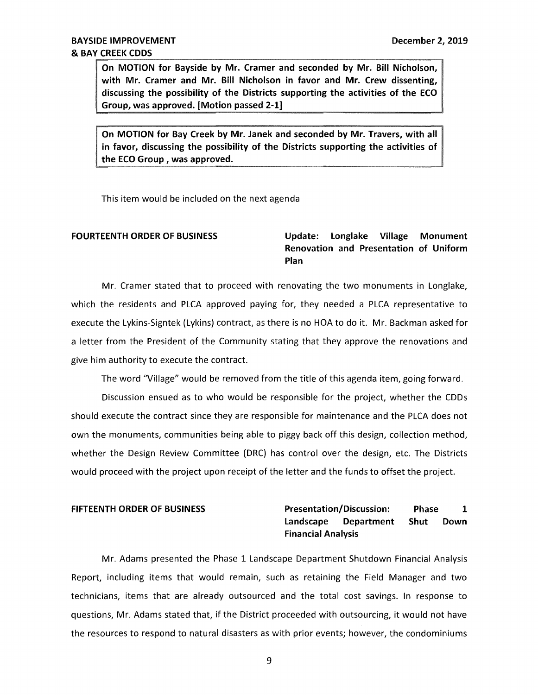**On MOTION for Bayside by Mr. Cramer and seconded by Mr. Bill Nicholson, with Mr. Cramer and Mr. Bill Nicholson in favor and Mr. Crew dissenting, discussing the possibility of the Districts supporting the activities of the ECO Group, was approved. [Motion passed 2-1)** 

**On MOTION for Bay Creek by Mr. Janek and seconded by Mr. Travers, with all in favor, discussing the possibility of the Districts supporting the activities of the ECO Group , was approved.** 

This item would be included on the next agenda

### **FOURTEENTH ORDER OF BUSINESS Update: Longlake Village Monument Renovation and Presentation of Uniform Plan**

Mr. Cramer stated that to proceed with renovating the two monuments in Longlake, which the residents and PLCA approved paying for, they needed a PLCA representative to execute the Lykins-Signtek (Lykins) contract, as there is no HOA to do it. Mr. Backman asked for a letter from the President of the Community stating that they approve the renovations and give him authority to execute the contract.

The word "Village" would be removed from the title of this agenda item, going forward.

Discussion ensued as to who would be responsible for the project, whether the CDDs should execute the contract since they are responsible for maintenance and the PLCA does not own the monuments, communities being able to piggy back off this design, collection method, whether the Design Review Committee (DRC) has control over the design, etc. The Districts would proceed with the project upon receipt of the letter and the funds to offset the project.

### **FIFTEENTH ORDER OF BUSINESS Presentation/Discussion: Phase 1 Landscape Department Shut Down Financial Analysis**

Mr. Adams presented the Phase 1 Landscape Department Shutdown Financial Analysis Report, including items that would remain, such as retaining the Field Manager and two technicians, items that are already outsourced and the total cost savings. In response to questions, Mr. Adams stated that, if the District proceeded with outsourcing, it would not have the resources to respond to natural disasters as with prior events; however, the condominiums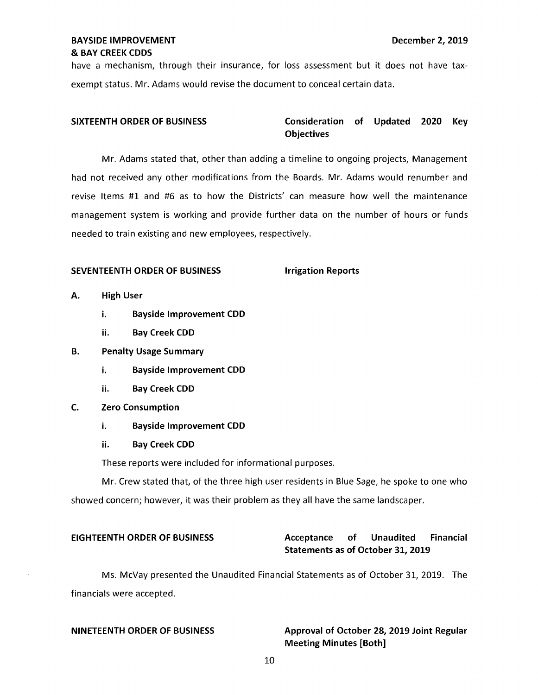have a mechanism, through their insurance, for loss assessment but it does not have taxexempt status. Mr. Adams would revise the document to conceal certain data.

### **SIXTEENTH ORDER OF BUSINESS Consideration of Updated 2020 Key Objectives**

Mr. Adams stated that, other than adding a timeline to ongoing projects, Management had not received any other modifications from the Boards. Mr. Adams would renumber and revise Items #1 and #6 as to how the Districts' can measure how well the maintenance management system is working and provide further data on the number of hours or funds needed to train existing and new employees, respectively.

#### **SEVENTEENTH ORDER OF BUSINESS FOR A SEVENTEENTH ORDER OF BUSINESS FOR A SET AND A SET ASSESS**

- **A. High User** 
	- i. **Bayside Improvement COD**
	- ii. **Bay Creek COD**
- **B. Penalty Usage Summary** 
	- i. **Bayside Improvement COD**
	- ii. **Bay Creek COD**
- **C. Zero Consumption** 
	- i. **Bayside Improvement COD**
	- ii. **Bay Creek COD**

These reports were included for informational purposes.

Mr. Crew stated that, of the three high user residents in Blue Sage, he spoke to one who showed concern; however, it was their problem as they all have the same landscaper.

### **EIGHTEENTH ORDER OF BUSINESS Acceptance of Unaudited Financial Statements as of October 31, 2019**

Ms. McVay presented the Unaudited Financial Statements as of October 31, 2019. The financials were accepted.

#### **NINETEENTH ORDER OF BUSINESS Approval of October 28, 2019 Joint Regular Meeting Minutes [Both]**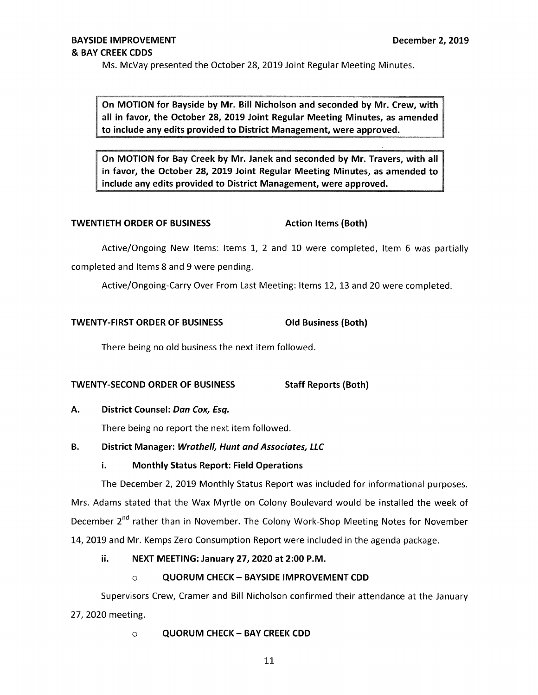Ms. McVay presented the October 28, 2019 Joint Regular Meeting Minutes.

**On MOTION for Bayside by Mr. Bill Nicholson and seconded by Mr. Crew, with all in favor, the October 28, 2019 Joint Regular Meeting Minutes, as amended to include any edits provided to District Management, were approved.** 

**On MOTION for Bay Creek by Mr. Janek and seconded by Mr. Travers, with all in favor, the October 28, 2019 Joint Regular Meeting Minutes, as amended to include any edits provided to District Management, were approved.** 

### **TWENTIETH ORDER OF BUSINESS Action Items (Both)**

Active/Ongoing New Items: Items 1, 2 and 10 were completed, Item 6 was partially completed and Items 8 and 9 were pending.

Active/Ongoing-Carry Over From Last Meeting: Items 12, 13 and 20 were completed.

### **TWENTY-FIRST ORDER OF BUSINESS Old Business (Both)**

There being no old business the next item followed.

**TWENTY-SECOND ORDER OF BUSINESS Staff Reports (Both)** 

#### **A.** District Counsel: Dan Cox, Esq.

There being no report the next item followed.

#### **B.** District Manager: *Wrathell, Hunt and Associates, LLC*

### i. **Monthly Status Report: Field Operations**

The December 2, 2019 Monthly Status Report was included for informational purposes.

Mrs. Adams stated that the Wax Myrtle on Colony Boulevard would be installed the week of December 2<sup>nd</sup> rather than in November. The Colony Work-Shop Meeting Notes for November 14, 2019 and Mr. Kemps Zero Consumption Report were included in the agenda package.

### ii. **NEXT MEETING: January 27, 2020 at 2:00 P.M.**

### o **QUORUM CHECK- BAYSIDE IMPROVEMENT CDD**

Supervisors Crew, Cramer and Bill Nicholson confirmed their attendance at the January 27, 2020 meeting.

### o **QUORUM CHECK** - **BAY CREEK CDD**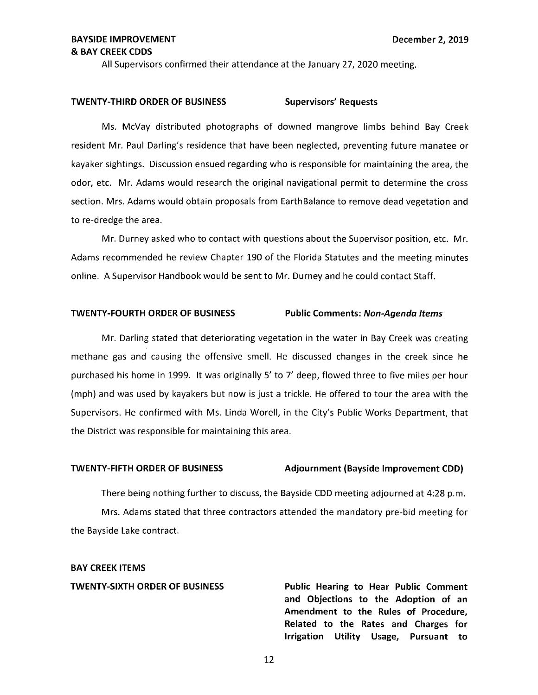All Supervisors confirmed their attendance at the January 27, 2020 meeting.

#### TWENTY-THIRD ORDER OF BUSINESS Supervisors' Requests

Ms. McVay distributed photographs of downed mangrove limbs behind Bay Creek resident Mr. Paul Darling's residence that have been neglected, preventing future manatee or kayaker sightings. Discussion ensued regarding who is responsible for maintaining the area, the odor, etc. Mr. Adams would research the original navigational permit to determine the cross section. Mrs. Adams would obtain proposals from EarthBalance to remove dead vegetation and to re-dredge the area.

Mr. Durney asked who to contact with questions about the Supervisor position, etc. Mr. Adams recommended he review Chapter 190 of the Florida Statutes and the meeting minutes online. A Supervisor Handbook would be sent to Mr. Durney and he could contact Staff.

#### **TWENTY-FOURTH ORDER OF BUSINESS Public Comments: Non-Agenda Items**

Mr. Darling stated that deteriorating vegetation in the water in Bay Creek was creating methane gas and causing the offensive smell. He discussed changes in the creek since he purchased his home in 1999. It was originally 5' to 7' deep, flowed three to five miles per hour (mph) and was used by kayakers but now is just a trickle. He offered to tour the area with the Supervisors. He confirmed with Ms. Linda Worell, in the City's Public Works Department, that the District was responsible for maintaining this area.

#### **TWENTY-FIFTH ORDER OF BUSINESS Adjournment (Bayside Improvement CDD)**

There being nothing further to discuss, the Bayside CDD meeting adjourned at 4:28 p.m. Mrs. Adams stated that three contractors attended the mandatory pre-bid meeting for the Bayside Lake contract.

#### **BAY CREEK ITEMS**

**TWENTY-SIXTH ORDER OF BUSINESS Public Hearing to Hear Public Comment and Objections to the Adoption of an Amendment to the Rules of Procedure, Related to the Rates and Charges for Irrigation Utility Usage, Pursuant to**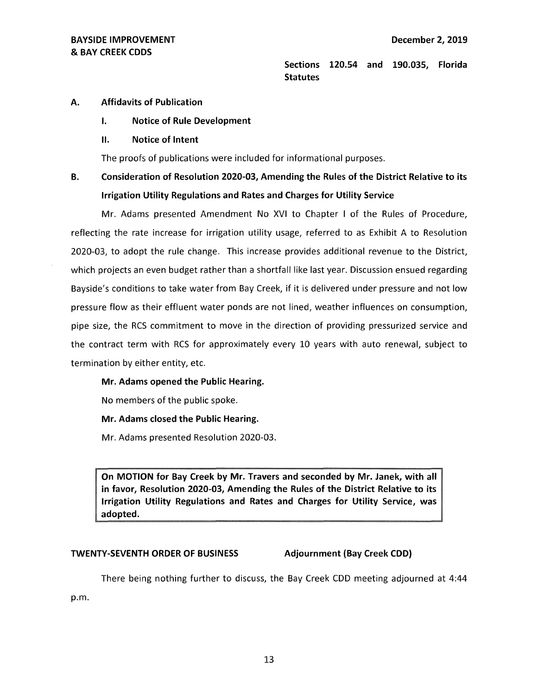**Sections 120.54 and 190.035, Florida Statutes** 

#### **A. Affidavits of Publication**

- **I. Notice of Rule Development**
- II. **Notice of Intent**

The proofs of publications were included for informational purposes.

## **B. Consideration of Resolution 2020-03, Amending the Rules of the District Relative to its Irrigation Utility Regulations and Rates and Charges for Utility Service**

Mr. Adams presented Amendment No XVI to Chapter I of the Rules of Procedure, reflecting the rate increase for irrigation utility usage, referred to as Exhibit A to Resolution 2020-03, to adopt the rule change. This increase provides additional revenue to the District, which projects an even budget rather than a shortfall like last year. Discussion ensued regarding Bayside's conditions to take water from Bay Creek, if it is delivered under pressure and not low pressure flow as their effluent water ponds are not lined, weather influences on consumption, pipe size, the RCS commitment to move in the direction of providing pressurized service and the contract term with RCS for approximately every 10 years with auto renewal, subject to termination by either entity, etc.

**Mr. Adams opened the Public Hearing.** 

No members of the public spoke.

**Mr. Adams closed the Public Hearing.** 

Mr. Adams presented Resolution 2020-03.

**On MOTION for Bay Creek by Mr. Travers and seconded by Mr. Janek, with all in favor, Resolution 2020-03, Amending the Rules of the District Relative to its Irrigation Utility Regulations and Rates and Charges for Utility Service, was adopted.** 

#### **TWENTY-SEVENTH ORDER OF BUSINESS Adjournment (Bay Creek CDD)**

There being nothing further to discuss, the Bay Creek CDD meeting adjourned at 4:44

p.m.